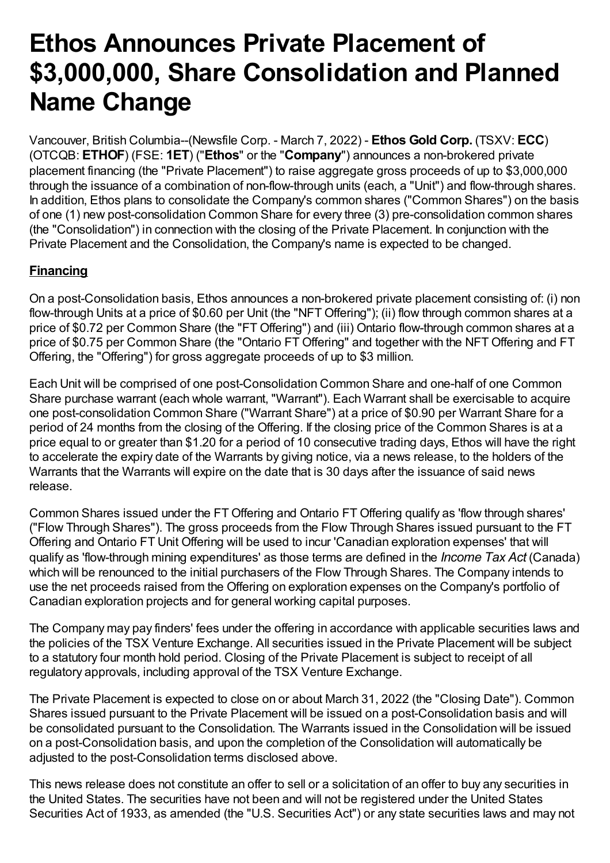# **Ethos Announces Private Placement of \$3,000,000, Share Consolidation and Planned Name Change**

Vancouver, British Columbia--(Newsfile Corp. - March 7, 2022) - **Ethos Gold Corp.** (TSXV: **ECC**) (OTCQB: **ETHOF**) (FSE: **1ET**) ("**Ethos**" or the "**Company**") announces a non-brokered private placement financing (the "Private Placement") to raise aggregate gross proceeds of up to \$3,000,000 through the issuance of a combination of non-flow-through units (each, a "Unit") and flow-through shares. In addition, Ethos plans to consolidate the Company's common shares ("Common Shares") on the basis of one (1) new post-consolidation Common Share for every three (3) pre-consolidation common shares (the "Consolidation") in connection with the closing of the Private Placement. In conjunction with the Private Placement and the Consolidation, the Company's name is expected to be changed.

# **Financing**

On a post-Consolidation basis, Ethos announces a non-brokered private placement consisting of: (i) non flow-through Units at a price of \$0.60 per Unit (the "NFT Offering"); (ii) flow through common shares at a price of \$0.72 per Common Share (the "FT Offering") and (iii) Ontario flow-through common shares at a price of \$0.75 per Common Share (the "Ontario FT Offering" and together with the NFT Offering and FT Offering, the "Offering") for gross aggregate proceeds of up to \$3 million.

Each Unit will be comprised of one post-Consolidation Common Share and one-half of one Common Share purchase warrant (each whole warrant, "Warrant"). Each Warrant shall be exercisable to acquire one post-consolidation Common Share ("Warrant Share") at a price of \$0.90 per Warrant Share for a period of 24 months from the closing of the Offering. If the closing price of the Common Shares is at a price equal to or greater than \$1.20 for a period of 10 consecutive trading days, Ethos will have the right to accelerate the expiry date of the Warrants by giving notice, via a news release, to the holders of the Warrants that the Warrants will expire on the date that is 30 days after the issuance of said news release.

Common Shares issued under the FT Offering and Ontario FT Offering qualify as 'flow through shares' ("Flow Through Shares"). The gross proceeds from the Flow Through Shares issued pursuant to the FT Offering and Ontario FT Unit Offering will be used to incur 'Canadian exploration expenses' that will qualify as 'flow-through mining expenditures' as those terms are defined in the *Income Tax Act* (Canada) which will be renounced to the initial purchasers of the Flow Through Shares. The Company intends to use the net proceeds raised from the Offering on exploration expenses on the Company's portfolio of Canadian exploration projects and for general working capital purposes.

The Company may pay finders' fees under the offering in accordance with applicable securities laws and the policies of the TSX Venture Exchange. All securities issued in the Private Placement will be subject to a statutory four month hold period. Closing of the Private Placement is subject to receipt of all regulatory approvals, including approval of the TSX Venture Exchange.

The Private Placement is expected to close on or about March 31, 2022 (the "Closing Date"). Common Shares issued pursuant to the Private Placement will be issued on a post-Consolidation basis and will be consolidated pursuant to the Consolidation. The Warrants issued in the Consolidation will be issued on a post-Consolidation basis, and upon the completion of the Consolidation will automatically be adjusted to the post-Consolidation terms disclosed above.

This news release does not constitute an offer to sell or a solicitation of an offer to buy any securities in the United States. The securities have not been and will not be registered under the United States Securities Act of 1933, as amended (the "U.S. Securities Act") or any state securities laws and may not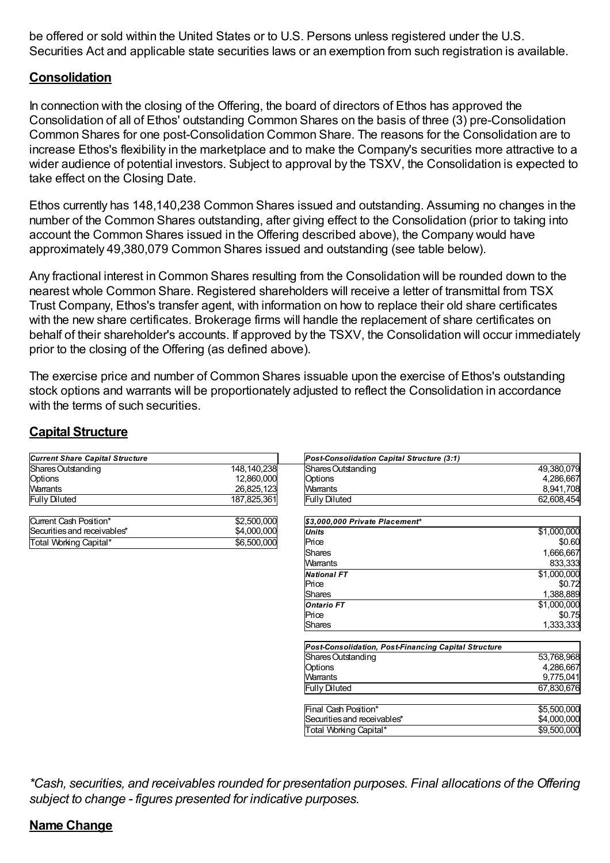be offered or sold within the United States or to U.S. Persons unless registered under the U.S. Securities Act and applicable state securities laws or an exemption from such registration is available.

### **Consolidation**

In connection with the closing of the Offering, the board of directors of Ethos has approved the Consolidation of all of Ethos' outstanding Common Shares on the basis of three (3) pre-Consolidation Common Shares for one post-Consolidation Common Share. The reasons for the Consolidation are to increase Ethos's flexibility in the marketplace and to make the Company's securities more attractive to a wider audience of potential investors. Subject to approval by the TSXV, the Consolidation is expected to take effect on the Closing Date.

Ethos currently has 148,140,238 Common Shares issued and outstanding. Assuming no changes in the number of the Common Shares outstanding, after giving effect to the Consolidation (prior to taking into account the Common Shares issued in the Offering described above), the Company would have approximately 49,380,079 Common Shares issued and outstanding (see table below).

Any fractional interest in Common Shares resulting from the Consolidation will be rounded down to the nearest whole Common Share. Registered shareholders will receive a letter of transmittal from TSX Trust Company, Ethos's transfer agent, with information on how to replace their old share certificates with the new share certificates. Brokerage firms will handle the replacement of share certificates on behalf of their shareholder's accounts. If approved by the TSXV, the Consolidation will occur immediately prior to the closing of the Offering (as defined above).

The exercise price and number of Common Shares issuable upon the exercise of Ethos's outstanding stock options and warrants will be proportionately adjusted to reflect the Consolidation in accordance with the terms of such securities.

#### **Capital Structure**

| <b>Current Share Capital Structure</b> |             | Post-Consolidation Capital Structure (3:1)                  |             |
|----------------------------------------|-------------|-------------------------------------------------------------|-------------|
| Shares Outstanding                     | 148,140,238 | Shares Outstanding                                          | 49,380,079  |
| Options                                | 12,860,000  | Options                                                     | 4,286,667   |
| <b>Warrants</b>                        | 26,825,123  | <b>Warrants</b>                                             | 8,941,708   |
| <b>Fully Diluted</b>                   | 187,825,361 | <b>Fully Diluted</b>                                        | 62,608,454  |
| Current Cash Position*                 | \$2,500,000 | \$3,000,000 Private Placement*                              |             |
| Securities and receivables*            | \$4,000,000 | <b>Units</b>                                                | \$1,000,000 |
| Total Working Capital*                 | \$6,500,000 | Price                                                       | \$0.60      |
|                                        |             | <b>Shares</b>                                               | 1,666,667   |
|                                        |             | Warrants                                                    | 833,333     |
|                                        |             | <b>National FT</b>                                          | \$1,000,000 |
|                                        |             | Price                                                       | \$0.72      |
|                                        |             | <b>Shares</b>                                               | 1,388,889   |
|                                        |             | <b>Ontario FT</b>                                           | \$1,000,000 |
|                                        |             | Price                                                       | \$0.75      |
|                                        |             | <b>Shares</b>                                               | 1,333,333   |
|                                        |             | <b>Post-Consolidation, Post-Financing Capital Structure</b> |             |
|                                        |             | Shares Outstanding                                          | 53,768,968  |
|                                        |             | Options                                                     | 4,286,667   |
|                                        |             | Warrants                                                    | 9,775,041   |
|                                        |             | <b>Fully Diluted</b>                                        | 67,830,676  |
|                                        |             | Final Cash Position*                                        | \$5,500,000 |
|                                        |             | Securities and receivables*                                 | \$4,000,000 |
|                                        |             | Total Working Capital*                                      | \$9,500,000 |

*\*Cash, securities, and receivables rounded for presentation purposes. Final allocations of the Offering subject to change - figures presented for indicative purposes.*

#### **Name Change**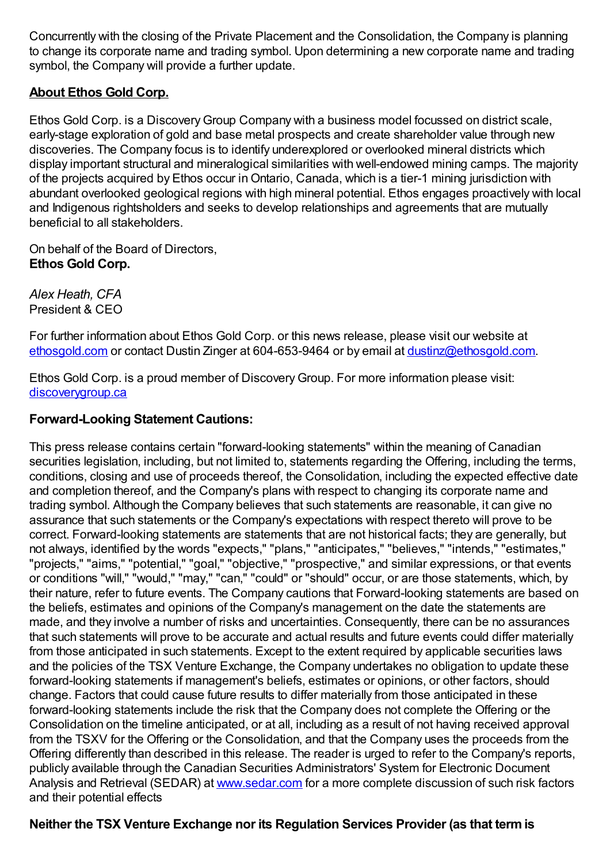Concurrently with the closing of the Private Placement and the Consolidation, the Company is planning to change its corporate name and trading symbol. Upon determining a new corporate name and trading symbol, the Company will provide a further update.

## **About Ethos Gold Corp.**

Ethos Gold Corp. is a Discovery Group Company with a business model focussed on district scale, early-stage exploration of gold and base metal prospects and create shareholder value through new discoveries. The Company focus is to identify underexplored or overlooked mineral districts which display important structural and mineralogical similarities with well-endowed mining camps. The majority of the projects acquired by Ethos occur inOntario, Canada, which is a tier-1 mining jurisdiction with abundant overlooked geological regions with high mineral potential. Ethos engages proactively with local and Indigenous rightsholders and seeks to develop relationships and agreements that are mutually beneficial to all stakeholders.

On behalf of the Board of Directors, **Ethos Gold Corp.**

*Alex Heath, CFA* President & CEO

For further information about Ethos Gold Corp. or this news release, please visit our website at [ethosgold.com](https://www.newsfilecorp.com/redirect/xOjVouobEr) or contact Dustin Zinger at 604-653-9464 or by email at [dustinz@ethosgold.com](mailto:alexh@ethosgold.com).

Ethos Gold Corp. is a proud member of DiscoveryGroup. For more information please visit: [discoverygroup.ca](https://www.newsfilecorp.com/redirect/7e1J4HqjQW)

#### **Forward-Looking Statement Cautions:**

This press release contains certain "forward-looking statements" within the meaning of Canadian securities legislation, including, but not limited to, statements regarding the Offering, including the terms, conditions, closing and use of proceeds thereof, the Consolidation, including the expected effective date and completion thereof, and the Company's plans with respect to changing its corporate name and trading symbol. Although the Company believes that such statements are reasonable, it can give no assurance that such statements or the Company's expectations with respect thereto will prove to be correct. Forward-looking statements are statements that are not historical facts; they are generally, but not always, identified by the words "expects," "plans," "anticipates," "believes," "intends," "estimates," "projects," "aims," "potential," "goal," "objective," "prospective," and similar expressions, or that events or conditions "will," "would," "may," "can," "could" or "should" occur, or are those statements, which, by their nature, refer to future events. The Company cautions that Forward-looking statements are based on the beliefs, estimates and opinions of the Company's management on the date the statements are made, and they involve a number of risks and uncertainties. Consequently, there can be no assurances that such statements will prove to be accurate and actual results and future events could differ materially from those anticipated in such statements. Except to the extent required by applicable securities laws and the policies of the TSX Venture Exchange, the Company undertakes no obligation to update these forward-looking statements if management's beliefs, estimates or opinions, or other factors, should change. Factors that could cause future results to differ materially from those anticipated in these forward-looking statements include the risk that the Company does not complete the Offering or the Consolidation on the timeline anticipated, or at all, including as a result of not having received approval from the TSXV for the Offering or the Consolidation, and that the Company uses the proceeds from the Offering differently than described in this release. The reader is urged to refer to the Company's reports, publicly available through the Canadian Securities Administrators' System for Electronic Document Analysis and Retrieval (SEDAR) at [www.sedar.com](https://www.newsfilecorp.com/redirect/e4YZRiVk57) for a more complete discussion of such risk factors and their potential effects

#### **Neither the TSX Venture Exchange nor its Regulation Services Provider (as that termis**